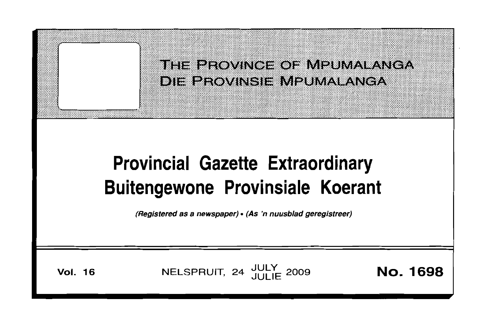## THE PROVINCE OF MPUMALANGA DIE PROVINSIE MPUMALANGA

# **Provincial Gazette Extraordinary Buitengewone Provinsiale Koerant**

(Registered as a newspaper) • (As 'n nuusblad geregistreer)

**Vol. 16** 

NELSPRUIT, 24 JULY 2009

**No. 1698**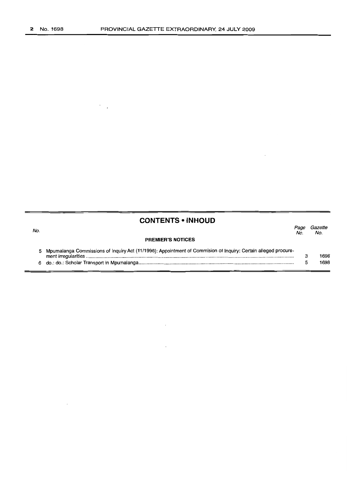$\ddot{\phantom{a}}$ 

### **CONTENTS • INHOUD**

6 do.: do.: Scholar Transport in Mpumalanga .

 $\overline{\phantom{a}}$ 

| No. |                                                                                                                | rage<br>No. | <i>cazene</i><br>No. |
|-----|----------------------------------------------------------------------------------------------------------------|-------------|----------------------|
|     | <b>PREMIER'S NOTICES</b>                                                                                       |             |                      |
|     | Mpumalanga Commissions of Inquiry Act (11/1998): Appointment of Commision of Inquiry: Certain alleged procure- |             | 1698                 |

*Page Gazette*

5

1698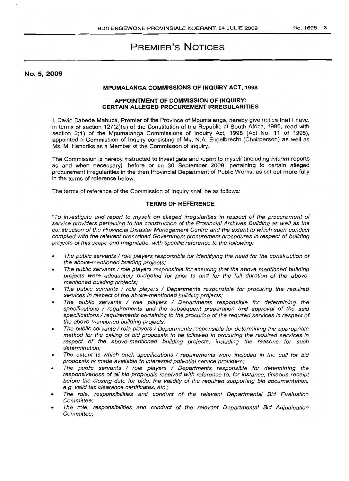## **PREMIER'S NOTICES**

No.5, 2009

#### **MPUMALANGA COMMISSIONS OF INQUIRY ACT, 1998**

#### **APPOINTMENT OF COMMISSION OF INQUIRY: CERTAIN ALLEGED PROCUREMENT IRREGULARITIES**

I. David Dabede Mabuza. Premier of the Province of Mpumalanga. hereby give notice that I have. 'in terms of section 127(2)(e) of the Constitution of the Republic of South Africa, 1996, read with section 2(1) of the Mpumalanga Commissions of Inquiry Act. 1998 (Act No. 11 of 1998). appointed a Commission of Inquiry consisting of Ms. N.A. Engelbrecht (Chairperson) as well as Ms. M. Hendriks as a Member of the Commission of Inquiry.

The Commission is hereby instructed to investigate and report to myself (including interim reports as and when necessary). before or on 30 September 2009. pertaining to certain alleged procurement irregularities in the then Provincial Department of Public Works, as set out more fully in the terms of reference below.

The terms of reference of the Commission of Inquiry shall be as follows:

#### **TERMS OF REFERENCE**

"To investigate and report to myself on alleged irregularities in respect of the procurement of service providers pertaining to the construction of the Provincial Archives Building as well as the construction of the Provincial Disaster Management Centre and the extent to which such conduct complied with the relevant prescribed Government procurement procedures in respect of building projects of this scope and magnitude, with specific reference to the following:

- The public servants / role players responsible for identifying the need for the construction of the above-mentioned building projects;
- The public servants / role players responsible for ensuring that the above-mentioned building projects were adequately budgeted for prior to and for the full duration of the abovementioned building projects;
- The public servants / role players / Departments responsible for procuring the required services in respect of the above-mentioned building projects;
- The public servants / role players / Departments responsible for determining the specifications / requirements and the subsequent preparation and approval of the said specifications / requirements pertaining to the procuring of the required services in respect of the above-mentioned building projects;
- The public servants / role players / Departments responsible for determining the appropriate method for the calling of bid proposals to be followed in procuring the required services in respect of the above-mentioned building projects, including the reasons for such determination;
- The extent to which such specifications / requirements were included in the call for bid proposals or made available to interested potential service providers;
- The public servants / role players / Departments responsible for deiermininq the responsiveness of all bid proposals received with reference to, for instance, timeous receipt before the closing date for bids, the validity of the required supporting bid documentation, e.q. valid tax clearance certificates, etc.;
- The role, responsibilities and conduct of the relevant Departmental Bid Evaluation Committee;
- The role, responsibilities and conduct of the relevant Departmental Bid Adjudication Committee;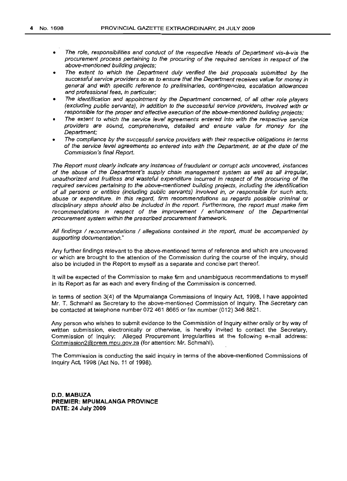- The role, responsibilities and conduct of the respective Heads of Department vis-à-vis the procurement process pertaining to the procuring of the required services in respect of the above-mentioned building projects;
- The extent to which the Department duly verified the bid proposals submitted by the successful service providers so as to ensure that the Department receives value for money in general and with specific reference to preliminaries, contingencies, escalation allowances and professional fees, in particular;
- The identification and appointment by the Department concerned, of all other role players (excluding public servants), in addition to the successful service providers, involved with or responsible for the proper and effective execution of the above-mentioned building projects;
- The extent to which the service level agreements entered into with the respective service providers are sound, comprehensive, detailed and ensure value for money for the Department;
- The compliance by the successful service providers with their respective obligations in terms of the service level agreements so entered into with the Department, as at the date of the Commission's final Report.

The Report must clearly indicate any instances of fraudulent or corrupt acts uncovered, instances of the abuse of the Department's supply chain management system as well as all irregular, unauthorized and fruitless and wasteful expenditure incurred in respect of the procuring of the required services pertaining to the above-mentioned building projects, including the identification of all persons or entities (including public servants) involved in, or responsible for such acts, abuse or expenditure. In this regard, firm recommendations as regards possible criminal or disciplinary steps should also be included in the report. Furthermore, the report must make firm recommendations in respect of the improvement / enhancement of the Departmental procurement system within the prescribed procurement framework.

All findings / recommendations / allegations contained in the report, must be accompanied by supporting documentation."

Any further findings relevant to the above-mentioned terms of reference and which are uncovered or which are brought to the attention of the Commission during the course of the inquiry, should also be included in the Report to myself as a separate and concise part thereof.

It will be expected of the Commission to make firm and unambiguous recommendations to myself in its Report as far as each and every finding of the Commission is concerned.

In terms of section 3(4) of the Mpumalanga Commissions of Inquiry Act, 1998, I have appointed Mr. T. Schmahl as Secretary to the above-mentioned Commission of Inquiry. The Secretary can be contacted at telephone number 072 461 8665 or fax number (012) 346 8821.

Any person who wishes to submit evidence to the Commission of Inquiry either orally or by way of written submission, electronically or otherwise, is hereby invited to contact the Secretary, Commission of Inquiry: Alleged Procurement Irregularities at the following e-mail address: Commission2@prem.mpu.gov.za (for attention: Mr. Schmahl).

The Commission is conducting the said inquiry in terms of the above-mentioned Commissions of Inquiry Act, 1998 (Act No. 11 of 1998).

**D.O. MABUZA PREMIER: MPUMALANGA PROVINCE DATE: 24 July 2009**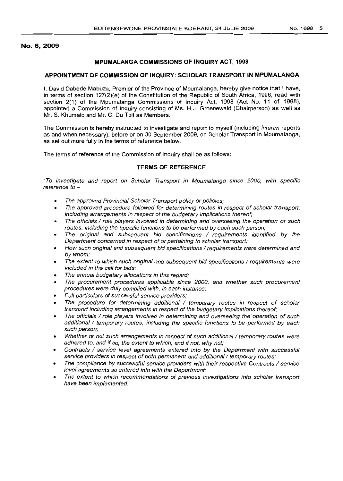#### No. 6,2009

#### **MPUMALANGA COMMISSIONS OF INQUIRY ACT, 1998**

#### **APPOINTMENT OF COMMISSION OF INQUIRY: SCHOLAR TRANSPORT IN MPUMALANGA**

I, David Dabede Mabuza, Premier of the Province of Mpumalanga, hereby give notice that I have, in terms of section 127(2)(e) of the Constitution of the Republic of South Africa, 1996, read with section 2(1) of the Mpumalanga Commissions of Inquiry Act, 1998 (Act No. 11 of 1998), appointed a Commission of Inquiry consisting of Ms. H.J. Groenewald (Chairperson) as well as Mr. S. Khumalo and Mr. C. Du Toit as Members.

The Commission is hereby instructed to investigate and report to myself (including *interim* reports as and when necessary), before or on 30 September 2009, on Scholar Transport in Mpumalanga, as set out more fully in the terms of reference below.

The terms of reference of the Commission of Inquiry shall be as follows:

#### **TERMS OF REFERENCE**

"To investigate and report on Scholar Transport in Mpumalanga since 2000, with specific reference to -

- The approved Provincial Scholar Transport policy or policies;
- The approved procedure followed for determining routes in respect of scholar transport, including arrangements in respect of the budgetary implications thereof;
- The officials / role players involved in determining and overseeing the operation of such routes, including the specific functions to be performed by each such person;
- The original and subsequent bid specifications / requirements identified by the Department concerned in respect of or pertaining to scholar transport;
- How such original and subsequent bid specifications / requirements were determined and by whom;
- The extent to which such original and subsequent bid specifications / requirements were included in the call for bids;
- The annual budgetary allocations in this regard;
- The procurement procedures applicable since 2000, and whether such procurement procedures were duly complied with, in each instance;
- Full particulars of successful service providers;
- The procedure for determining additional / temporary routes in respect of scholar transport including arrangements in respect of the budgetary implications *thereoi;*
- The officials / role players involved in determining and overseeing the' operation of such additional / temporary routes, including the specific functions to be performed by each such person;
- Whether or not such arrangements in respect of such additional  $/$  temporary routes were adhered to, and if so, the extent to which, and if not, why not;
- Contracts / service level agreements entered into by the Department with successful service providers in respect of both permanent and additional / temporary routes;
- The compliance by successful service providers with their respective Contracts / service level agreements so entered into with the Department;
- The extent to which recommendations of previous investigations into scholar transport have been implemented.